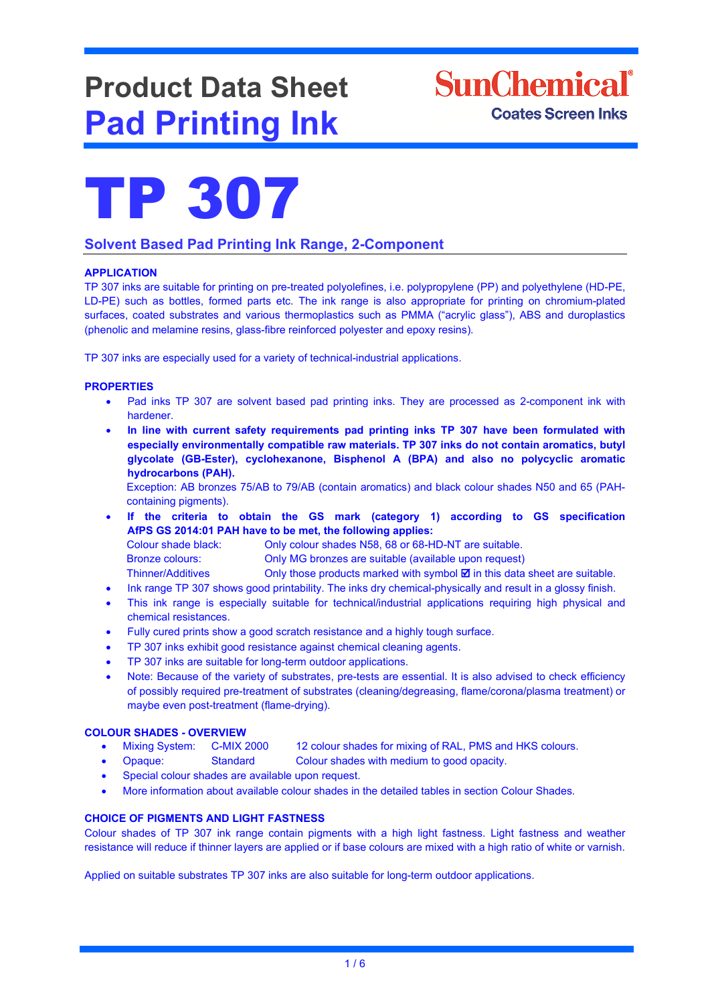# **Product Data Sheet Pad Printing Ink**





## **Solvent Based Pad Printing Ink Range, 2-Component**

## **APPLICATION**

TP 307 inks are suitable for printing on pre-treated polyolefines, i.e. polypropylene (PP) and polyethylene (HD-PE, LD-PE) such as bottles, formed parts etc. The ink range is also appropriate for printing on chromium-plated surfaces, coated substrates and various thermoplastics such as PMMA ("acrylic glass"), ABS and duroplastics (phenolic and melamine resins, glass-fibre reinforced polyester and epoxy resins).

TP 307 inks are especially used for a variety of technical-industrial applications.

#### **PROPERTIES**

- Pad inks TP 307 are solvent based pad printing inks. They are processed as 2-component ink with hardener.
- **In line with current safety requirements pad printing inks TP 307 have been formulated with especially environmentally compatible raw materials. TP 307 inks do not contain aromatics, butyl glycolate (GB-Ester), cyclohexanone, Bisphenol A (BPA) and also no polycyclic aromatic hydrocarbons (PAH).**

Exception: AB bronzes 75/AB to 79/AB (contain aromatics) and black colour shades N50 and 65 (PAHcontaining pigments).

• **If the criteria to obtain the GS mark (category 1) according to GS specification AfPS GS 2014:01 PAH have to be met, the following applies:** 

Colour shade black: Only colour shades N58, 68 or 68-HD-NT are suitable. Bronze colours: Only MG bronzes are suitable (available upon request)

- Thinner/Additives Only those products marked with symbol  $\blacksquare$  in this data sheet are suitable.
- Ink range TP 307 shows good printability. The inks dry chemical-physically and result in a glossy finish.
- This ink range is especially suitable for technical/industrial applications requiring high physical and chemical resistances.
- Fully cured prints show a good scratch resistance and a highly tough surface.
- TP 307 inks exhibit good resistance against chemical cleaning agents.
- TP 307 inks are suitable for long-term outdoor applications.
- Note: Because of the variety of substrates, pre-tests are essential. It is also advised to check efficiency of possibly required pre-treatment of substrates (cleaning/degreasing, flame/corona/plasma treatment) or maybe even post-treatment (flame-drying).

- **COLOUR SHADES - OVERVIEW** • Mixing System: C-MIX 2000 12 colour shades for mixing of RAL, PMS and HKS colours.
	- Opaque: Standard Colour shades with medium to good opacity.
	- Special colour shades are available upon request.
	- More information about available colour shades in the detailed tables in section Colour Shades.

#### **CHOICE OF PIGMENTS AND LIGHT FASTNESS**

Colour shades of TP 307 ink range contain pigments with a high light fastness. Light fastness and weather resistance will reduce if thinner layers are applied or if base colours are mixed with a high ratio of white or varnish.

Applied on suitable substrates TP 307 inks are also suitable for long-term outdoor applications.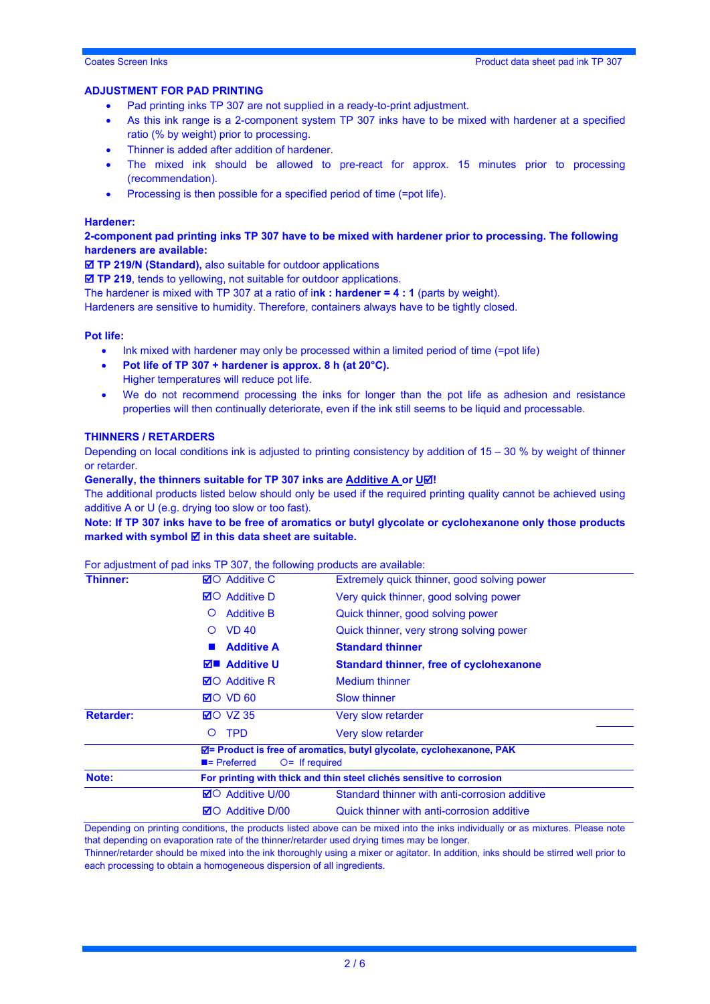#### **ADJUSTMENT FOR PAD PRINTING**

- Pad printing inks TP 307 are not supplied in a ready-to-print adjustment.
- As this ink range is a 2-component system TP 307 inks have to be mixed with hardener at a specified ratio (% by weight) prior to processing.
- Thinner is added after addition of hardener.
- The mixed ink should be allowed to pre-react for approx. 15 minutes prior to processing (recommendation).
- Processing is then possible for a specified period of time (=pot life).

#### **Hardener:**

#### **2-component pad printing inks TP 307 have to be mixed with hardener prior to processing. The following hardeners are available:**

**TP 219/N (Standard),** also suitable for outdoor applications

**TP 219**, tends to yellowing, not suitable for outdoor applications.

The hardener is mixed with TP 307 at a ratio of i**nk : hardener = 4 : 1** (parts by weight).

Hardeners are sensitive to humidity. Therefore, containers always have to be tightly closed.

#### **Pot life:**

- Ink mixed with hardener may only be processed within a limited period of time (=pot life)
- **Pot life of TP 307 + hardener is approx. 8 h (at 20°C).** Higher temperatures will reduce pot life.
- We do not recommend processing the inks for longer than the pot life as adhesion and resistance properties will then continually deteriorate, even if the ink still seems to be liquid and processable.

#### **THINNERS / RETARDERS**

Depending on local conditions ink is adjusted to printing consistency by addition of  $15 - 30$  % by weight of thinner or retarder.

#### **Generally, the thinners suitable for TP 307 inks are Additive A or U** $\overline{\omega}$ **!**

The additional products listed below should only be used if the required printing quality cannot be achieved using additive A or U (e.g. drying too slow or too fast).

**Note: If TP 307 inks have to be free of aromatics or butyl glycolate or cyclohexanone only those products marked with symbol <b>Ø** in this data sheet are suitable.

#### For adjustment of pad inks TP 307, the following products are available:

| <b>Thinner:</b>  | <b>⊠</b> O Additive C                                                 | Extremely quick thinner, good solving power                                                          |  |  |
|------------------|-----------------------------------------------------------------------|------------------------------------------------------------------------------------------------------|--|--|
|                  | $\boxtimes$ Additive D                                                | Very quick thinner, good solving power                                                               |  |  |
|                  | <b>Additive B</b><br>O                                                | Quick thinner, good solving power                                                                    |  |  |
|                  | <b>VD 40</b><br>$\Omega$                                              | Quick thinner, very strong solving power                                                             |  |  |
|                  | <b>Additive A</b>                                                     | <b>Standard thinner</b>                                                                              |  |  |
|                  | $\nabla$ <b>E</b> Additive U                                          | <b>Standard thinner, free of cyclohexanone</b>                                                       |  |  |
|                  | <b>⊠O</b> Additive R                                                  | <b>Medium thinner</b>                                                                                |  |  |
|                  | $\boxtimes$ O VD 60                                                   | <b>Slow thinner</b>                                                                                  |  |  |
| <b>Retarder:</b> | $\boxtimes$ O VZ 35                                                   | Very slow retarder                                                                                   |  |  |
|                  | <b>TPD</b><br>$\circ$                                                 | Very slow retarder                                                                                   |  |  |
|                  | $\blacksquare$ Preferred<br>$O =$ If required                         | <b><math>\overline{M}</math></b> = Product is free of aromatics, butyl glycolate, cyclohexanone, PAK |  |  |
| Note:            | For printing with thick and thin steel clichés sensitive to corrosion |                                                                                                      |  |  |
|                  | <b>⊠</b> O Additive U/00                                              | Standard thinner with anti-corrosion additive                                                        |  |  |
|                  | <b>⊠</b> O Additive D/00                                              | Quick thinner with anti-corrosion additive                                                           |  |  |

Depending on printing conditions, the products listed above can be mixed into the inks individually or as mixtures. Please note that depending on evaporation rate of the thinner/retarder used drying times may be longer.

Thinner/retarder should be mixed into the ink thoroughly using a mixer or agitator. In addition, inks should be stirred well prior to each processing to obtain a homogeneous dispersion of all ingredients.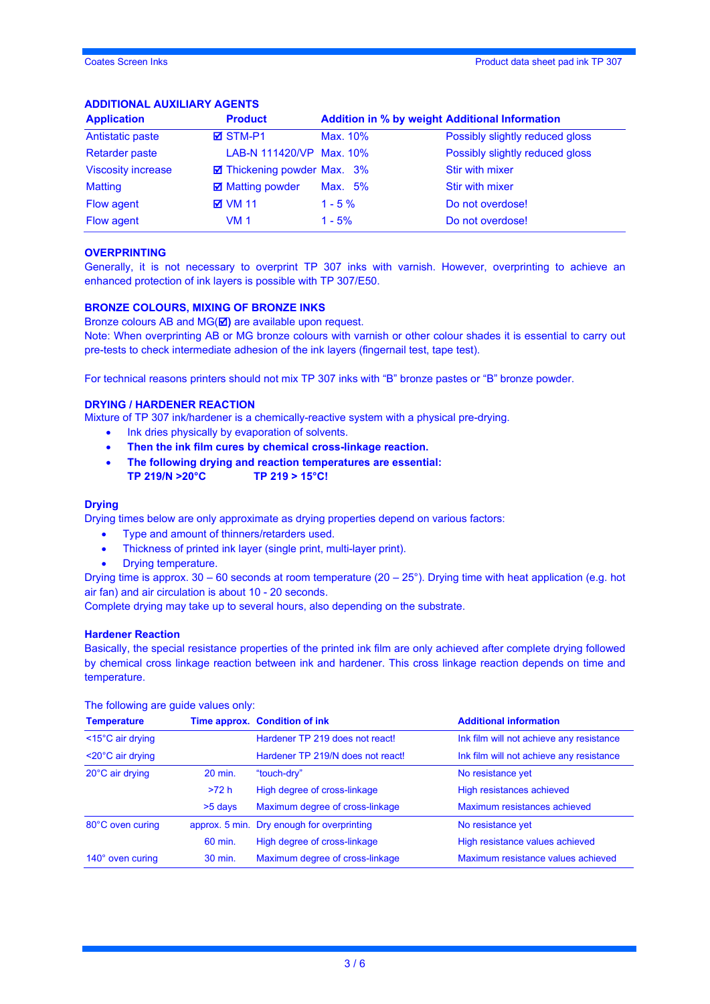## **ADDITIONAL AUXILIARY AGENTS**

| <b>Application</b>        | <b>Product</b>              | <b>Addition in % by weight Additional Information</b> |                                 |  |
|---------------------------|-----------------------------|-------------------------------------------------------|---------------------------------|--|
| Antistatic paste          | <b>ØSTM-P1</b>              | Max. 10%                                              | Possibly slightly reduced gloss |  |
| <b>Retarder paste</b>     | LAB-N 111420/VP Max. 10%    |                                                       | Possibly slightly reduced gloss |  |
| <b>Viscosity increase</b> | ☑ Thickening powder Max. 3% |                                                       | <b>Stir with mixer</b>          |  |
| <b>Matting</b>            | <b>☑</b> Matting powder     | Max. 5%                                               | <b>Stir with mixer</b>          |  |
| Flow agent                | <b>⊠</b> VM 11              | $1 - 5 \%$                                            | Do not overdose!                |  |
| Flow agent                | VM 1                        | $1 - 5%$                                              | Do not overdose!                |  |

#### **OVERPRINTING**

Generally, it is not necessary to overprint TP 307 inks with varnish. However, overprinting to achieve an enhanced protection of ink layers is possible with TP 307/E50.

#### **BRONZE COLOURS, MIXING OF BRONZE INKS**

Bronze colours AB and MG(**Ø)** are available upon request.

Note: When overprinting AB or MG bronze colours with varnish or other colour shades it is essential to carry out pre-tests to check intermediate adhesion of the ink layers (fingernail test, tape test).

For technical reasons printers should not mix TP 307 inks with "B" bronze pastes or "B" bronze powder.

#### **DRYING / HARDENER REACTION**

Mixture of TP 307 ink/hardener is a chemically-reactive system with a physical pre-drying.

- Ink dries physically by evaporation of solvents.
- **Then the ink film cures by chemical cross-linkage reaction.**
- **The following drying and reaction temperatures are essential: TP 219/N >20°C TP 219 > 15°C!**

#### **Drying**

Drying times below are only approximate as drying properties depend on various factors:

- Type and amount of thinners/retarders used.
- Thickness of printed ink layer (single print, multi-layer print).
- Drying temperature.

Drying time is approx. 30 – 60 seconds at room temperature (20 – 25°). Drying time with heat application (e.g. hot air fan) and air circulation is about 10 - 20 seconds.

Complete drying may take up to several hours, also depending on the substrate.

#### **Hardener Reaction**

Basically, the special resistance properties of the printed ink film are only achieved after complete drying followed by chemical cross linkage reaction between ink and hardener. This cross linkage reaction depends on time and temperature.

| <b>Temperature</b>             |         | Time approx. Condition of ink                                         | <b>Additional information</b>            |  |
|--------------------------------|---------|-----------------------------------------------------------------------|------------------------------------------|--|
| $<$ 15 $^{\circ}$ C air drying |         | Hardener TP 219 does not react!                                       | Ink film will not achieve any resistance |  |
| $<$ 20 $^{\circ}$ C air drying |         | Hardener TP 219/N does not react!                                     | Ink film will not achieve any resistance |  |
| 20°C air drying                | 20 min. | "touch-dry"                                                           | No resistance yet                        |  |
|                                | >72 h   | High degree of cross-linkage                                          | High resistances achieved                |  |
|                                | >5 days | Maximum degree of cross-linkage                                       | Maximum resistances achieved             |  |
| 80°C oven curing               |         | approx. 5 min. Dry enough for overprinting                            | No resistance yet                        |  |
|                                | 60 min. | High degree of cross-linkage                                          | High resistance values achieved          |  |
| 140° oven curing               | 30 min. | Maximum degree of cross-linkage<br>Maximum resistance values achieved |                                          |  |

The following are guide values only: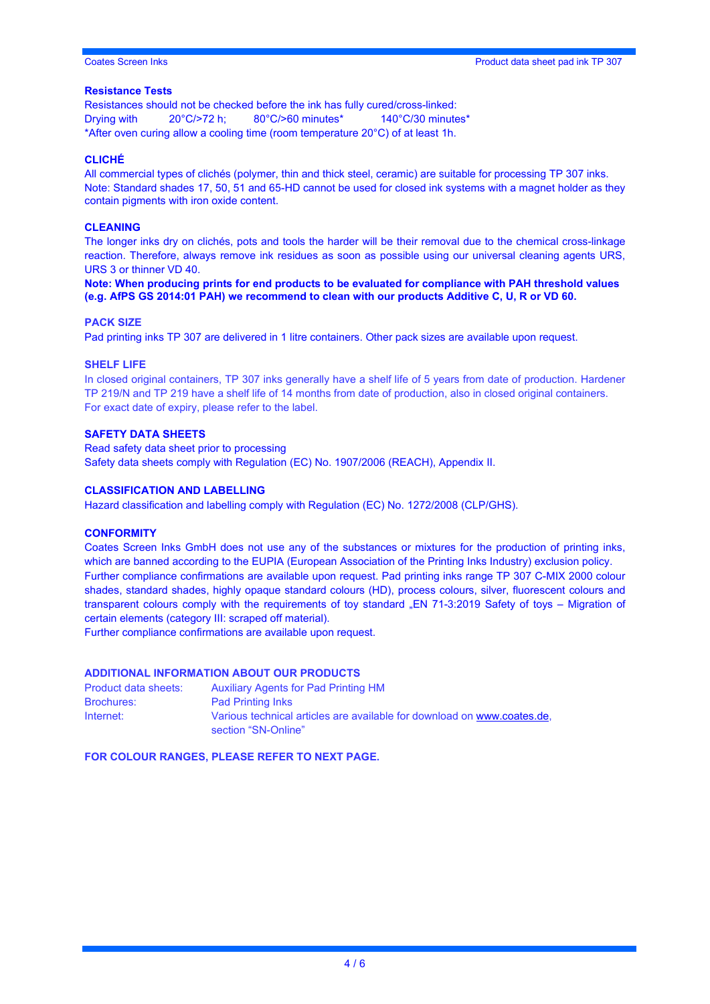#### **Resistance Tests**

Resistances should not be checked before the ink has fully cured/cross-linked: Drying with 20°C/>72 h; 80°C/>60 minutes\* 140°C/30 minutes\* \*After oven curing allow a cooling time (room temperature 20°C) of at least 1h.

#### **CLICHÉ**

All commercial types of clichés (polymer, thin and thick steel, ceramic) are suitable for processing TP 307 inks. Note: Standard shades 17, 50, 51 and 65-HD cannot be used for closed ink systems with a magnet holder as they contain pigments with iron oxide content.

#### **CLEANING**

The longer inks dry on clichés, pots and tools the harder will be their removal due to the chemical cross-linkage reaction. Therefore, always remove ink residues as soon as possible using our universal cleaning agents URS, URS 3 or thinner VD 40.

**Note: When producing prints for end products to be evaluated for compliance with PAH threshold values (e.g. AfPS GS 2014:01 PAH) we recommend to clean with our products Additive C, U, R or VD 60.**

#### **PACK SIZE**

Pad printing inks TP 307 are delivered in 1 litre containers. Other pack sizes are available upon request.

#### **SHELF LIFE**

In closed original containers, TP 307 inks generally have a shelf life of 5 years from date of production. Hardener TP 219/N and TP 219 have a shelf life of 14 months from date of production, also in closed original containers. For exact date of expiry, please refer to the label.

#### **SAFETY DATA SHEETS**

Read safety data sheet prior to processing Safety data sheets comply with Regulation (EC) No. 1907/2006 (REACH), Appendix II.

#### **CLASSIFICATION AND LABELLING**

Hazard classification and labelling comply with Regulation (EC) No. 1272/2008 (CLP/GHS).

#### **CONFORMITY**

Coates Screen Inks GmbH does not use any of the substances or mixtures for the production of printing inks, which are banned according to the EUPIA (European Association of the Printing Inks Industry) exclusion policy. Further compliance confirmations are available upon request. Pad printing inks range TP 307 C-MIX 2000 colour shades, standard shades, highly opaque standard colours (HD), process colours, silver, fluorescent colours and transparent colours comply with the requirements of toy standard "EN 71-3:2019 Safety of toys - Migration of certain elements (category III: scraped off material).

Further compliance confirmations are available upon request.

#### **ADDITIONAL INFORMATION ABOUT OUR PRODUCTS**

| Product data sheets: | <b>Auxiliary Agents for Pad Printing HM</b>                                                    |
|----------------------|------------------------------------------------------------------------------------------------|
| <b>Brochures:</b>    | <b>Pad Printing Inks</b>                                                                       |
| Internet:            | Various technical articles are available for download on www.coates.de.<br>section "SN-Online" |

**FOR COLOUR RANGES, PLEASE REFER TO NEXT PAGE.**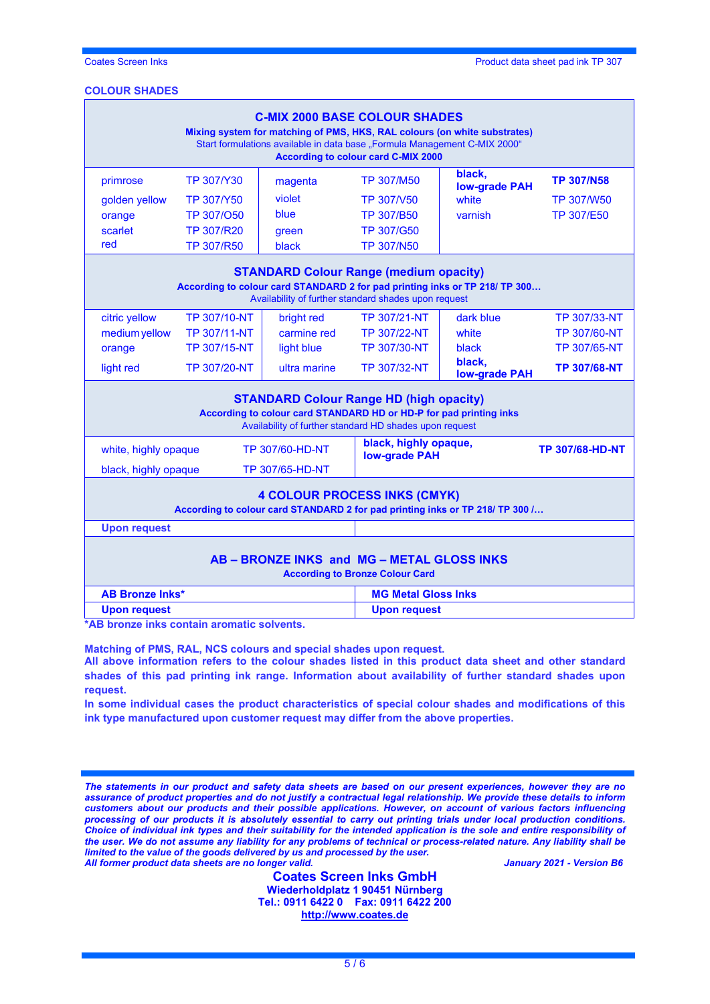#### **COLOUR SHADES**

| <b>C-MIX 2000 BASE COLOUR SHADES</b><br>Mixing system for matching of PMS, HKS, RAL colours (on white substrates)<br>Start formulations available in data base "Formula Management C-MIX 2000"<br><b>According to colour card C-MIX 2000</b> |                     |                        |                                                 |                                |                     |
|----------------------------------------------------------------------------------------------------------------------------------------------------------------------------------------------------------------------------------------------|---------------------|------------------------|-------------------------------------------------|--------------------------------|---------------------|
| primrose                                                                                                                                                                                                                                     | <b>TP 307/Y30</b>   | magenta                | <b>TP 307/M50</b>                               | black,                         | <b>TP 307/N58</b>   |
| golden yellow                                                                                                                                                                                                                                | <b>TP 307/Y50</b>   | violet                 | TP 307/V50                                      | <b>low-grade PAH</b><br>white  | <b>TP 307/W50</b>   |
| orange                                                                                                                                                                                                                                       | TP 307/O50          | blue                   | TP 307/B50                                      | varnish                        | TP 307/E50          |
| scarlet                                                                                                                                                                                                                                      | TP 307/R20          | green                  | TP 307/G50                                      |                                |                     |
| red                                                                                                                                                                                                                                          | TP 307/R50          | black                  | <b>TP 307/N50</b>                               |                                |                     |
| <b>STANDARD Colour Range (medium opacity)</b><br>According to colour card STANDARD 2 for pad printing inks or TP 218/ TP 300<br>Availability of further standard shades upon request                                                         |                     |                        |                                                 |                                |                     |
| citric yellow                                                                                                                                                                                                                                | TP 307/10-NT        | bright red             | TP 307/21-NT                                    | dark blue                      | TP 307/33-NT        |
| medium yellow                                                                                                                                                                                                                                | <b>TP 307/11-NT</b> | carmine red            | <b>TP 307/22-NT</b>                             | white                          | <b>TP 307/60-NT</b> |
| orange                                                                                                                                                                                                                                       | TP 307/15-NT        | light blue             | <b>TP 307/30-NT</b>                             | black                          | <b>TP 307/65-NT</b> |
| light red                                                                                                                                                                                                                                    | TP 307/20-NT        | ultra marine           | TP 307/32-NT                                    | black,<br><b>low-grade PAH</b> | <b>TP 307/68-NT</b> |
| <b>STANDARD Colour Range HD (high opacity)</b><br>According to colour card STANDARD HD or HD-P for pad printing inks<br>Availability of further standard HD shades upon request                                                              |                     |                        |                                                 |                                |                     |
| <b>TP 307/60-HD-NT</b><br>white, highly opaque                                                                                                                                                                                               |                     |                        | black, highly opaque,<br><b>TP 307/68-HD-NT</b> |                                |                     |
| black, highly opaque                                                                                                                                                                                                                         |                     | <b>TP 307/65-HD-NT</b> | <b>low-grade PAH</b>                            |                                |                     |
| <b>4 COLOUR PROCESS INKS (CMYK)</b><br>According to colour card STANDARD 2 for pad printing inks or TP 218/ TP 300 /                                                                                                                         |                     |                        |                                                 |                                |                     |
| <b>Upon request</b>                                                                                                                                                                                                                          |                     |                        |                                                 |                                |                     |
| AB - BRONZE INKS and MG - METAL GLOSS INKS<br><b>According to Bronze Colour Card</b>                                                                                                                                                         |                     |                        |                                                 |                                |                     |
| <b>AB Bronze Inks*</b>                                                                                                                                                                                                                       |                     |                        | <b>MG Metal Gloss Inks</b>                      |                                |                     |
| <b>Upon request</b>                                                                                                                                                                                                                          |                     |                        | <b>Upon request</b>                             |                                |                     |

**\*AB bronze inks contain aromatic solvents.**

**Matching of PMS, RAL, NCS colours and special shades upon request.**

**All above information refers to the colour shades listed in this product data sheet and other standard shades of this pad printing ink range. Information about availability of further standard shades upon request.** 

**In some individual cases the product characteristics of special colour shades and modifications of this ink type manufactured upon customer request may differ from the above properties.**

*The statements in our product and safety data sheets are based on our present experiences, however they are no assurance of product properties and do not justify a contractual legal relationship. We provide these details to inform customers about our products and their possible applications. However, on account of various factors influencing processing of our products it is absolutely essential to carry out printing trials under local production conditions. Choice of individual ink types and their suitability for the intended application is the sole and entire responsibility of the user. We do not assume any liability for any problems of technical or process-related nature. Any liability shall be limited to the value of the goods delivered by us and processed by the user. All former product data sheets are no longer valid. January 2021 - Version B6*

**Coates Screen Inks GmbH Wiederholdplatz 1 90451 Nürnberg Tel.: 0911 6422 0 Fax: 0911 6422 200 [http://www.coates.de](http://www.coates.de/)**